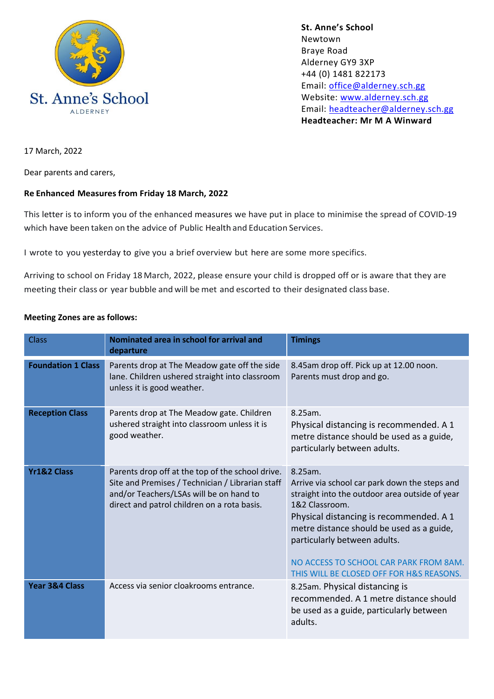

**St. Anne's School**  Newtown Braye Road Alderney GY9 3XP +44 (0) 1481 822173 Email: [office@alderney.sch.gg](mailto:office@alderney.sch.gg) Website: [www.alderney.sch.gg](http://www.alderney.sch.gg/) Email: [headteacher@alderney.sch.gg](mailto:headteacher@alderney.sch.gg) **Headteacher: Mr M A Winward**

17 March, 2022

Dear parents and carers,

### **Re Enhanced Measures from Friday 18 March, 2022**

This letter is to inform you of the enhanced measures we have put in place to minimise the spread of COVID-19 which have been taken on the advice of Public Health and Education Services.

I wrote to you yesterday to give you a brief overview but here are some more specifics.

Arriving to school on Friday 18 March, 2022, please ensure your child is dropped off or is aware that they are meeting their class or year bubble and will be met and escorted to their designated class base.

#### **Meeting Zones are as follows:**

| <b>Class</b>              | Nominated area in school for arrival and<br>departure                                                                                                                                          | <b>Timings</b>                                                                                                                                                                                                                                                                                                                             |
|---------------------------|------------------------------------------------------------------------------------------------------------------------------------------------------------------------------------------------|--------------------------------------------------------------------------------------------------------------------------------------------------------------------------------------------------------------------------------------------------------------------------------------------------------------------------------------------|
| <b>Foundation 1 Class</b> | Parents drop at The Meadow gate off the side<br>lane. Children ushered straight into classroom<br>unless it is good weather.                                                                   | 8.45am drop off. Pick up at 12.00 noon.<br>Parents must drop and go.                                                                                                                                                                                                                                                                       |
| <b>Reception Class</b>    | Parents drop at The Meadow gate. Children<br>ushered straight into classroom unless it is<br>good weather.                                                                                     | 8.25am.<br>Physical distancing is recommended. A 1<br>metre distance should be used as a guide,<br>particularly between adults.                                                                                                                                                                                                            |
| <b>Yr1&amp;2 Class</b>    | Parents drop off at the top of the school drive.<br>Site and Premises / Technician / Librarian staff<br>and/or Teachers/LSAs will be on hand to<br>direct and patrol children on a rota basis. | 8.25am.<br>Arrive via school car park down the steps and<br>straight into the outdoor area outside of year<br>1&2 Classroom.<br>Physical distancing is recommended. A 1<br>metre distance should be used as a guide,<br>particularly between adults.<br>NO ACCESS TO SCHOOL CAR PARK FROM 8AM.<br>THIS WILL BE CLOSED OFF FOR H&S REASONS. |
| Year 3&4 Class            | Access via senior cloakrooms entrance.                                                                                                                                                         | 8.25am. Physical distancing is<br>recommended. A 1 metre distance should<br>be used as a guide, particularly between<br>adults.                                                                                                                                                                                                            |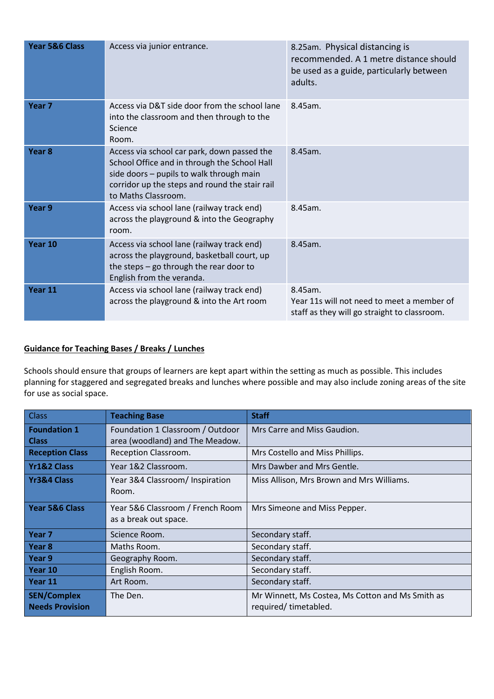| Year 5&6 Class    | Access via junior entrance.                                                                                                                                                                                      | 8.25am. Physical distancing is<br>recommended. A 1 metre distance should<br>be used as a guide, particularly between<br>adults. |
|-------------------|------------------------------------------------------------------------------------------------------------------------------------------------------------------------------------------------------------------|---------------------------------------------------------------------------------------------------------------------------------|
| Year <sub>7</sub> | Access via D&T side door from the school lane<br>into the classroom and then through to the<br>Science<br>Room.                                                                                                  | 8.45am.                                                                                                                         |
| Year <sub>8</sub> | Access via school car park, down passed the<br>School Office and in through the School Hall<br>side doors - pupils to walk through main<br>corridor up the steps and round the stair rail<br>to Maths Classroom. | 8.45am.                                                                                                                         |
| Year 9            | Access via school lane (railway track end)<br>across the playground & into the Geography<br>room.                                                                                                                | 8.45am.                                                                                                                         |
| Year 10           | Access via school lane (railway track end)<br>across the playground, basketball court, up<br>the steps - go through the rear door to<br>English from the veranda.                                                | 8.45am.                                                                                                                         |
| Year 11           | Access via school lane (railway track end)<br>across the playground & into the Art room                                                                                                                          | 8.45am.<br>Year 11s will not need to meet a member of<br>staff as they will go straight to classroom.                           |

# **Guidance for Teaching Bases / Breaks / Lunches**

Schools should ensure that groups of learners are kept apart within the setting as much as possible. This includes planning for staggered and segregated breaks and lunches where possible and may also include zoning areas of the site for use as social space.

| <b>Class</b>                                 | <b>Teaching Base</b>                                      | <b>Staff</b>                                                             |
|----------------------------------------------|-----------------------------------------------------------|--------------------------------------------------------------------------|
| <b>Foundation 1</b>                          | Foundation 1 Classroom / Outdoor                          | Mrs Carre and Miss Gaudion.                                              |
| <b>Class</b>                                 | area (woodland) and The Meadow.                           |                                                                          |
| <b>Reception Class</b>                       | Reception Classroom.                                      | Mrs Costello and Miss Phillips.                                          |
| <b>Yr1&amp;2 Class</b>                       | Year 1&2 Classroom.                                       | Mrs Dawber and Mrs Gentle.                                               |
| Yr3&4 Class                                  | Year 3&4 Classroom/ Inspiration<br>Room.                  | Miss Allison, Mrs Brown and Mrs Williams.                                |
| Year 5&6 Class                               | Year 5&6 Classroom / French Room<br>as a break out space. | Mrs Simeone and Miss Pepper.                                             |
| Year <sub>7</sub>                            | Science Room.                                             | Secondary staff.                                                         |
| Year 8                                       | Maths Room.                                               | Secondary staff.                                                         |
| Year 9                                       | Geography Room.                                           | Secondary staff.                                                         |
| Year 10                                      | English Room.                                             | Secondary staff.                                                         |
| Year 11                                      | Art Room.                                                 | Secondary staff.                                                         |
| <b>SEN/Complex</b><br><b>Needs Provision</b> | The Den.                                                  | Mr Winnett, Ms Costea, Ms Cotton and Ms Smith as<br>required/timetabled. |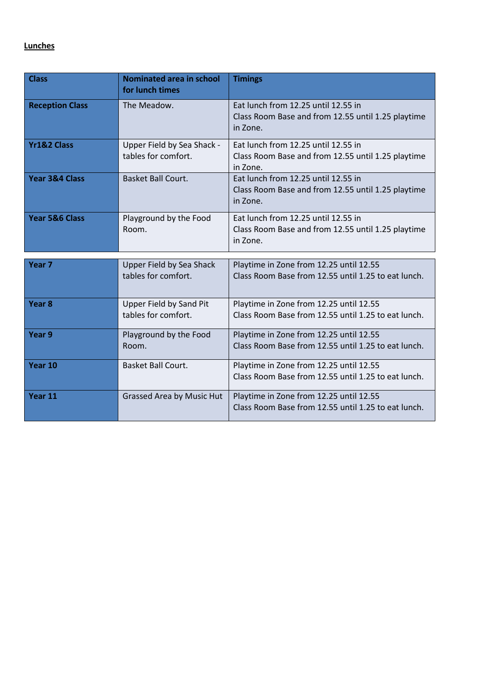# **Lunches**

| <b>Class</b>           | <b>Nominated area in school</b><br>for lunch times    | <b>Timings</b>                                                                                        |
|------------------------|-------------------------------------------------------|-------------------------------------------------------------------------------------------------------|
| <b>Reception Class</b> | The Meadow.                                           | Eat lunch from 12.25 until 12.55 in<br>Class Room Base and from 12.55 until 1.25 playtime<br>in Zone. |
| <b>Yr1&amp;2 Class</b> | Upper Field by Sea Shack -<br>tables for comfort.     | Eat lunch from 12.25 until 12.55 in<br>Class Room Base and from 12.55 until 1.25 playtime<br>in Zone. |
| Year 3&4 Class         | <b>Basket Ball Court.</b>                             | Eat lunch from 12.25 until 12.55 in<br>Class Room Base and from 12.55 until 1.25 playtime<br>in Zone. |
| Year 5&6 Class         | Playground by the Food<br>Room.                       | Eat lunch from 12.25 until 12.55 in<br>Class Room Base and from 12.55 until 1.25 playtime<br>in Zone. |
| Year <sub>7</sub>      | Upper Field by Sea Shack                              | Playtime in Zone from 12.25 until 12.55                                                               |
|                        | tables for comfort.                                   | Class Room Base from 12.55 until 1.25 to eat lunch.                                                   |
| Year <sub>8</sub>      | <b>Upper Field by Sand Pit</b><br>tables for comfort. | Playtime in Zone from 12.25 until 12.55<br>Class Room Base from 12.55 until 1.25 to eat lunch.        |
| Year 9                 | Playground by the Food<br>Room.                       | Playtime in Zone from 12.25 until 12.55<br>Class Room Base from 12.55 until 1.25 to eat lunch.        |
| Year 10                | Basket Ball Court.                                    | Playtime in Zone from 12.25 until 12.55<br>Class Room Base from 12.55 until 1.25 to eat lunch.        |
| Year 11                | Grassed Area by Music Hut                             | Playtime in Zone from 12.25 until 12.55<br>Class Room Base from 12.55 until 1.25 to eat lunch.        |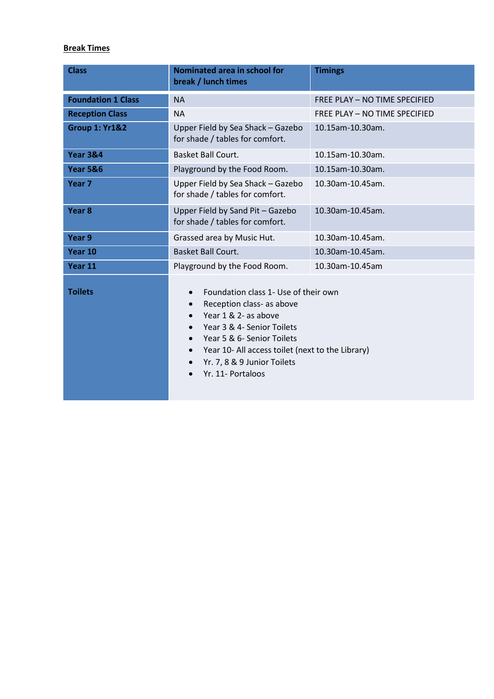## **Break Times**

| <b>Class</b>              | Nominated area in school for<br>break / lunch times                                                                                                                                                                                                                                                                                         | <b>Timings</b>                |
|---------------------------|---------------------------------------------------------------------------------------------------------------------------------------------------------------------------------------------------------------------------------------------------------------------------------------------------------------------------------------------|-------------------------------|
| <b>Foundation 1 Class</b> | <b>NA</b>                                                                                                                                                                                                                                                                                                                                   | FREE PLAY - NO TIME SPECIFIED |
| <b>Reception Class</b>    | <b>NA</b>                                                                                                                                                                                                                                                                                                                                   | FREE PLAY - NO TIME SPECIFIED |
| <b>Group 1: Yr1&amp;2</b> | Upper Field by Sea Shack - Gazebo<br>for shade / tables for comfort.                                                                                                                                                                                                                                                                        | 10.15am-10.30am.              |
| <b>Year 3&amp;4</b>       | Basket Ball Court.                                                                                                                                                                                                                                                                                                                          | 10.15am-10.30am.              |
| <b>Year 5&amp;6</b>       | Playground by the Food Room.                                                                                                                                                                                                                                                                                                                | 10.15am-10.30am.              |
| Year <sub>7</sub>         | Upper Field by Sea Shack - Gazebo<br>for shade / tables for comfort.                                                                                                                                                                                                                                                                        | 10.30am-10.45am.              |
| Year <sub>8</sub>         | Upper Field by Sand Pit - Gazebo<br>for shade / tables for comfort.                                                                                                                                                                                                                                                                         | 10.30am-10.45am.              |
| Year 9                    | Grassed area by Music Hut.                                                                                                                                                                                                                                                                                                                  | 10.30am-10.45am.              |
| Year 10                   | <b>Basket Ball Court.</b>                                                                                                                                                                                                                                                                                                                   | 10.30am-10.45am.              |
| Year 11                   | Playground by the Food Room.                                                                                                                                                                                                                                                                                                                | 10.30am-10.45am               |
| <b>Toilets</b>            | Foundation class 1- Use of their own<br>$\bullet$<br>Reception class- as above<br>$\bullet$<br>Year 1 & 2- as above<br>Year 3 & 4- Senior Toilets<br>$\bullet$<br>Year 5 & 6- Senior Toilets<br>$\bullet$<br>Year 10- All access toilet (next to the Library)<br>$\bullet$<br>Yr. 7, 8 & 9 Junior Toilets<br>$\bullet$<br>Yr. 11- Portaloos |                               |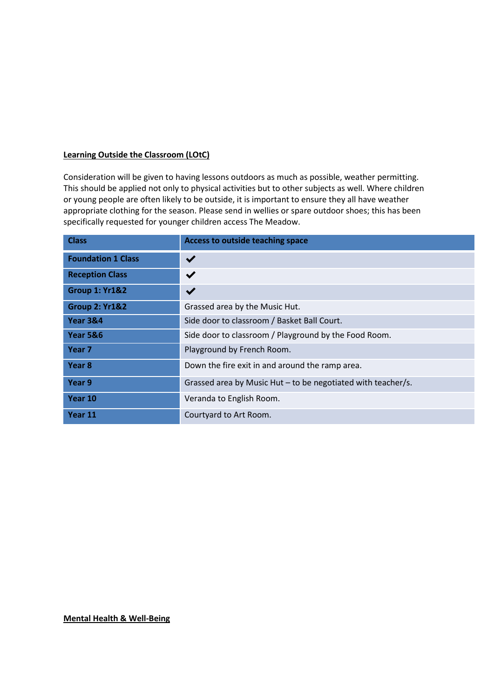#### **Learning Outside the Classroom (LOtC)**

Consideration will be given to having lessons outdoors as much as possible, weather permitting. This should be applied not only to physical activities but to other subjects as well. Where children or young people are often likely to be outside, it is important to ensure they all have weather appropriate clothing for the season. Please send in wellies or spare outdoor shoes; this has been specifically requested for younger children access The Meadow.

| <b>Class</b>              | Access to outside teaching space                             |
|---------------------------|--------------------------------------------------------------|
| <b>Foundation 1 Class</b> | $\blacktriangledown$                                         |
| <b>Reception Class</b>    | $\checkmark$                                                 |
| <b>Group 1: Yr1&amp;2</b> | $\blacktriangledown$                                         |
| <b>Group 2: Yr1&amp;2</b> | Grassed area by the Music Hut.                               |
| <b>Year 3&amp;4</b>       | Side door to classroom / Basket Ball Court.                  |
| Year 5&6                  | Side door to classroom / Playground by the Food Room.        |
| Year 7                    | Playground by French Room.                                   |
| Year 8                    | Down the fire exit in and around the ramp area.              |
| Year 9                    | Grassed area by Music Hut – to be negotiated with teacher/s. |
| Year 10                   | Veranda to English Room.                                     |
| Year 11                   | Courtyard to Art Room.                                       |

#### **Mental Health & Well-Being**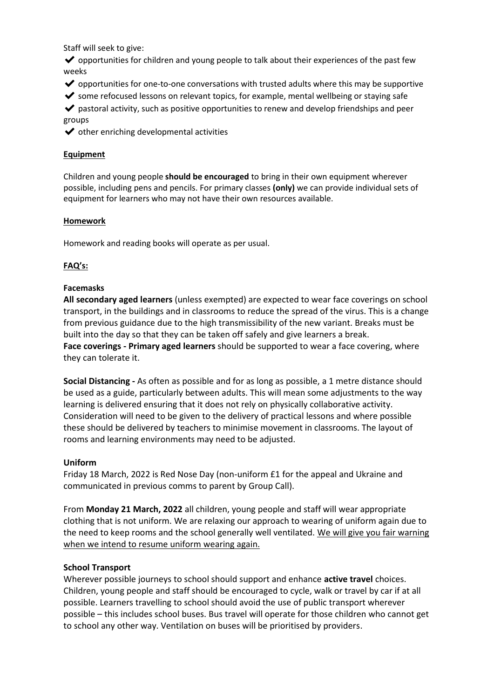Staff will seek to give:

 $\triangledown$  opportunities for children and young people to talk about their experiences of the past few weeks

- $\triangledown$  opportunities for one-to-one conversations with trusted adults where this may be supportive
- $\triangledown$  some refocused lessons on relevant topics, for example, mental wellbeing or staying safe

 $\triangledown$  pastoral activity, such as positive opportunities to renew and develop friendships and peer groups

 $\blacktriangleright$  other enriching developmental activities

## **Equipment**

Children and young people **should be encouraged** to bring in their own equipment wherever possible, including pens and pencils. For primary classes **(only)** we can provide individual sets of equipment for learners who may not have their own resources available.

### **Homework**

Homework and reading books will operate as per usual.

### **FAQ's:**

### **Facemasks**

**All secondary aged learners** (unless exempted) are expected to wear face coverings on school transport, in the buildings and in classrooms to reduce the spread of the virus. This is a change from previous guidance due to the high transmissibility of the new variant. Breaks must be built into the day so that they can be taken off safely and give learners a break. **Face coverings - Primary aged learners** should be supported to wear a face covering, where they can tolerate it.

**Social Distancing -** As often as possible and for as long as possible, a 1 metre distance should be used as a guide, particularly between adults. This will mean some adjustments to the way learning is delivered ensuring that it does not rely on physically collaborative activity. Consideration will need to be given to the delivery of practical lessons and where possible these should be delivered by teachers to minimise movement in classrooms. The layout of rooms and learning environments may need to be adjusted.

### **Uniform**

Friday 18 March, 2022 is Red Nose Day (non-uniform £1 for the appeal and Ukraine and communicated in previous comms to parent by Group Call).

From **Monday 21 March, 2022** all children, young people and staff will wear appropriate clothing that is not uniform. We are relaxing our approach to wearing of uniform again due to the need to keep rooms and the school generally well ventilated. We will give you fair warning when we intend to resume uniform wearing again.

### **School Transport**

Wherever possible journeys to school should support and enhance **active travel** choices. Children, young people and staff should be encouraged to cycle, walk or travel by car if at all possible. Learners travelling to school should avoid the use of public transport wherever possible – this includes school buses. Bus travel will operate for those children who cannot get to school any other way. Ventilation on buses will be prioritised by providers.